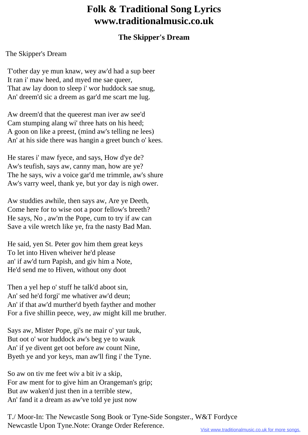## **Folk & Traditional Song Lyrics www.traditionalmusic.co.uk**

## **The Skipper's Dream**

## The Skipper's Dream

 T'other day ye mun knaw, wey aw'd had a sup beer It ran i' maw heed, and myed me sae queer, That aw lay doon to sleep i' wor huddock sae snug, An' dreem'd sic a dreem as gar'd me scart me lug.

 Aw dreem'd that the queerest man iver aw see'd Cam stumping alang wi' three hats on his heed; A goon on like a preest, (mind aw's telling ne lees) An' at his side there was hangin a greet bunch o' kees.

 He stares i' maw fyece, and says, How d'ye de? Aw's teufish, says aw, canny man, how are ye? The he says, wiv a voice gar'd me trimmle, aw's shure Aw's varry weel, thank ye, but yor day is nigh ower.

 Aw studdies awhile, then says aw, Are ye Deeth, Come here for to wise oot a poor fellow's breeth? He says, No , aw'm the Pope, cum to try if aw can Save a vile wretch like ye, fra the nasty Bad Man.

 He said, yen St. Peter gov him them great keys To let into Hiven wheiver he'd please an' if aw'd turn Papish, and giv him a Note, He'd send me to Hiven, without ony doot

 Then a yel hep o' stuff he talk'd aboot sin, An' sed he'd forgi' me whativer aw'd deun; An' if that aw'd murther'd byeth fayther and mother For a five shillin peece, wey, aw might kill me bruther.

 Says aw, Mister Pope, gi's ne mair o' yur tauk, But oot o' wor huddock aw's beg ye to wauk An' if ye divent get oot before aw count Nine, Byeth ye and yor keys, man aw'll fing i' the Tyne.

 So aw on tiv me feet wiv a bit iv a skip, For aw ment for to give him an Orangeman's grip; But aw waken'd just then in a terrible stew, An' fand it a dream as aw've told ye just now

 T./ Moor-In: The Newcastle Song Book or Tyne-Side Songster., W&T Fordyce Newcastle Upon Tyne.Note: Orange Order Reference.